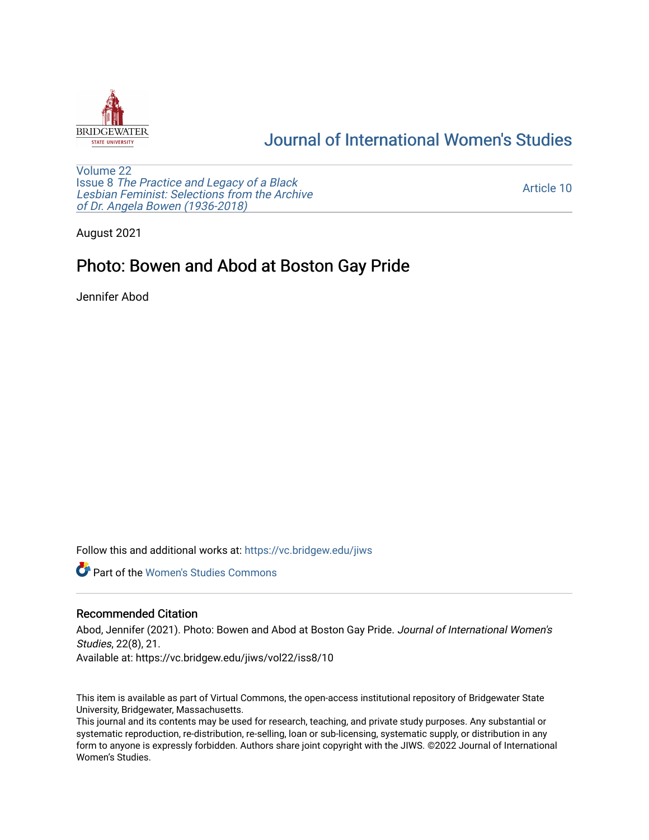

## [Journal of International Women's Studies](https://vc.bridgew.edu/jiws)

[Volume 22](https://vc.bridgew.edu/jiws/vol22) Issue 8 [The Practice and Legacy of a Black](https://vc.bridgew.edu/jiws/vol22/iss8)  [Lesbian Feminist: Selections from the Archive](https://vc.bridgew.edu/jiws/vol22/iss8)  [of Dr. Angela Bowen \(1936-2018\)](https://vc.bridgew.edu/jiws/vol22/iss8)

[Article 10](https://vc.bridgew.edu/jiws/vol22/iss8/10) 

August 2021

## Photo: Bowen and Abod at Boston Gay Pride

Jennifer Abod

Follow this and additional works at: [https://vc.bridgew.edu/jiws](https://vc.bridgew.edu/jiws?utm_source=vc.bridgew.edu%2Fjiws%2Fvol22%2Fiss8%2F10&utm_medium=PDF&utm_campaign=PDFCoverPages)

**C** Part of the Women's Studies Commons

## Recommended Citation

Abod, Jennifer (2021). Photo: Bowen and Abod at Boston Gay Pride. Journal of International Women's Studies, 22(8), 21. Available at: https://vc.bridgew.edu/jiws/vol22/iss8/10

This item is available as part of Virtual Commons, the open-access institutional repository of Bridgewater State University, Bridgewater, Massachusetts.

This journal and its contents may be used for research, teaching, and private study purposes. Any substantial or systematic reproduction, re-distribution, re-selling, loan or sub-licensing, systematic supply, or distribution in any form to anyone is expressly forbidden. Authors share joint copyright with the JIWS. ©2022 Journal of International Women's Studies.